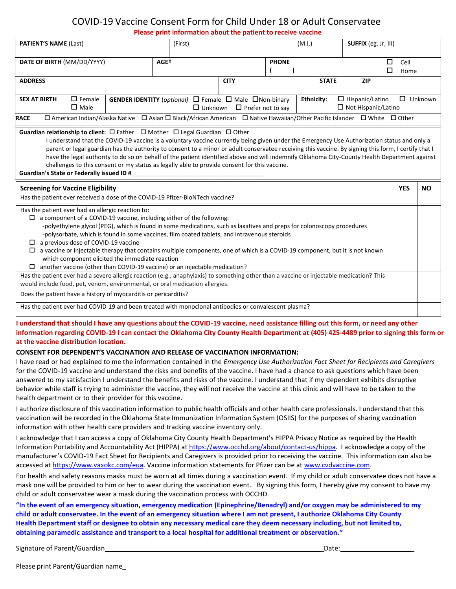## COVID-19 Vaccine Consent Form for Child Under 18 or Adult Conservatee

**Please print information about the patient to receive vaccine** 

| <b>PATIENT'S NAME (Last)</b>                                                                                                                                                                                                                                                                                                                                                                                                                                                                                                                                                                      | (First)                                                 |                                         | (M.I.)            | SUFFIX (eg. Jr, III)                                 |              |                |
|---------------------------------------------------------------------------------------------------------------------------------------------------------------------------------------------------------------------------------------------------------------------------------------------------------------------------------------------------------------------------------------------------------------------------------------------------------------------------------------------------------------------------------------------------------------------------------------------------|---------------------------------------------------------|-----------------------------------------|-------------------|------------------------------------------------------|--------------|----------------|
| DATE OF BIRTH (MM/DD/YYYY)                                                                                                                                                                                                                                                                                                                                                                                                                                                                                                                                                                        | AGE <sup>+</sup>                                        | <b>PHONE</b>                            |                   | □<br>$\Box$                                          | Cell<br>Home |                |
| <b>ADDRESS</b>                                                                                                                                                                                                                                                                                                                                                                                                                                                                                                                                                                                    |                                                         | <b>CITY</b>                             | <b>STATE</b>      | <b>ZIP</b>                                           |              |                |
| $\Box$ Female<br><b>SEX AT BIRTH</b><br>$\square$ Male                                                                                                                                                                                                                                                                                                                                                                                                                                                                                                                                            | GENDER IDENTITY (optional) □ Female □ Male □ Non-binary | $\Box$ Unknown $\Box$ Prefer not to say | <b>Ethnicity:</b> | $\Box$ Hispanic/Latino<br>$\Box$ Not Hispanic/Latino |              | $\Box$ Unknown |
| □ American Indian/Alaska Native □ Asian □ Black/African American □ Native Hawaiian/Other Pacific Islander □ White □ Other<br><b>RACE</b>                                                                                                                                                                                                                                                                                                                                                                                                                                                          |                                                         |                                         |                   |                                                      |              |                |
| I understand that the COVID-19 vaccine is a voluntary vaccine currently being given under the Emergency Use Authorization status and only a<br>parent or legal guardian has the authority to consent to a minor or adult conservatee receiving this vaccine. By signing this form, I certify that I<br>have the legal authority to do so on behalf of the patient identified above and will indemnify Oklahoma City-County Health Department against<br>challenges to this consent or my status as legally able to provide consent for this vaccine.<br>Guardian's State or Federally issued ID # |                                                         |                                         |                   |                                                      |              |                |
|                                                                                                                                                                                                                                                                                                                                                                                                                                                                                                                                                                                                   |                                                         |                                         |                   |                                                      |              |                |
| <b>Screening for Vaccine Eligibility</b><br>Has the patient ever received a dose of the COVID-19 Pfizer-BioNTech vaccine?                                                                                                                                                                                                                                                                                                                                                                                                                                                                         |                                                         |                                         |                   |                                                      | <b>YES</b>   | <b>NO</b>      |
| Has the patient ever had an allergic reaction to:                                                                                                                                                                                                                                                                                                                                                                                                                                                                                                                                                 |                                                         |                                         |                   |                                                      |              |                |
| a component of a COVID-19 vaccine, including either of the following:<br>$\Box$                                                                                                                                                                                                                                                                                                                                                                                                                                                                                                                   |                                                         |                                         |                   |                                                      |              |                |
| -polyethylene glycol (PEG), which is found in some medications, such as laxatives and preps for colonoscopy procedures<br>-polysorbate, which is found in some vaccines, film coated tablets, and intravenous steroids                                                                                                                                                                                                                                                                                                                                                                            |                                                         |                                         |                   |                                                      |              |                |
| a previous dose of COVID-19 vaccine<br>$\Box$<br>a vaccine or injectable therapy that contains multiple components, one of which is a COVID-19 component, but it is not known                                                                                                                                                                                                                                                                                                                                                                                                                     |                                                         |                                         |                   |                                                      |              |                |
| which component elicited the immediate reaction                                                                                                                                                                                                                                                                                                                                                                                                                                                                                                                                                   |                                                         |                                         |                   |                                                      |              |                |
| another vaccine (other than COVID-19 vaccine) or an injectable medication?<br>Has the patient ever had a severe allergic reaction (e.g., anaphylaxis) to something other than a vaccine or injectable medication? This<br>would include food, pet, venom, environmental, or oral medication allergies.                                                                                                                                                                                                                                                                                            |                                                         |                                         |                   |                                                      |              |                |
| Does the patient have a history of myocarditis or pericarditis?                                                                                                                                                                                                                                                                                                                                                                                                                                                                                                                                   |                                                         |                                         |                   |                                                      |              |                |

## **I understand that should I have any questions about the COVID-19 vaccine, need assistance filling out this form, or need any other information regarding COVID-19 I can contact the Oklahoma City County Health Department at (405) 425-4489 prior to signing this form or at the vaccine distribution location.**

## **CONSENT FOR DEPENDENT'S VACCINATION AND RELEASE OF VACCINATION INFORMATION:**

I have read or had explained to me the information contained in the *Emergency Use Authorization Fact Sheet for Recipients and Caregivers*  for the COVID-19 vaccine and understand the risks and benefits of the vaccine. I have had a chance to ask questions which have been answered to my satisfaction I understand the benefits and risks of the vaccine. I understand that if my dependent exhibits disruptive behavior while staff is trying to administer the vaccine, they will not receive the vaccine at this clinic and will have to be taken to the health department or to their provider for this vaccine.

I authorize disclosure of this vaccination information to public health officials and other health care professionals. I understand that this vaccination will be recorded in the Oklahoma State Immunization Information System (OSIIS) for the purposes of sharing vaccination information with other health care providers and tracking vaccine inventory only.

I acknowledge that I can access a copy of Oklahoma City County Health Department's HIPPA Privacy Notice as required by the Health Information Portability and Accountability Act (HIPPA) at [https://www.occhd.org/about/contact-us/hippa.](https://www.occhd.org/about/contact-us/hippa) I acknowledge a copy of the manufacturer's COVID-19 Fact Sheet for Recipients and Caregivers is provided prior to receiving the vaccine. This information can also be accessed a[t https://www.vaxokc.com/eua.](https://www.vaxokc.com/eua) Vaccine information statements for Pfizer can be a[t www.cvdvaccine.com.](http://www.cvdvaccine.com/)

 For health and safety reasons masks must be worn at all times during a vaccination event. If my child or adult conservatee does not have a mask one will be provided to him or her to wear during the vaccination event. By signing this form, I hereby give my consent to have my child or adult conservatee wear a mask during the vaccination process with OCCHD.

**"In the event of an emergency situation, emergency medication (Epinephrine/Benadryl) and/or oxygen may be administered to my child or adult conservatee. In the event of an emergency situation where I am not present, I authorize Oklahoma City County Health Department staff or designee to obtain any necessary medical care they deem necessary including, but not limited to, obtaining paramedic assistance and transport to a local hospital for additional treatment or observation."**

Signature of Parent/Guardian \_Date: \_

Please print Parent/Guardian name\_